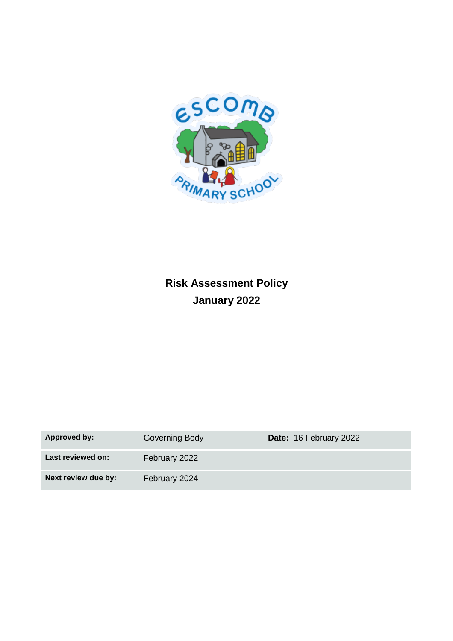

# **Risk Assessment Policy January 2022**

| Approved by:        | Governing Body | Date: 16 February 2022 |
|---------------------|----------------|------------------------|
| Last reviewed on:   | February 2022  |                        |
| Next review due by: | February 2024  |                        |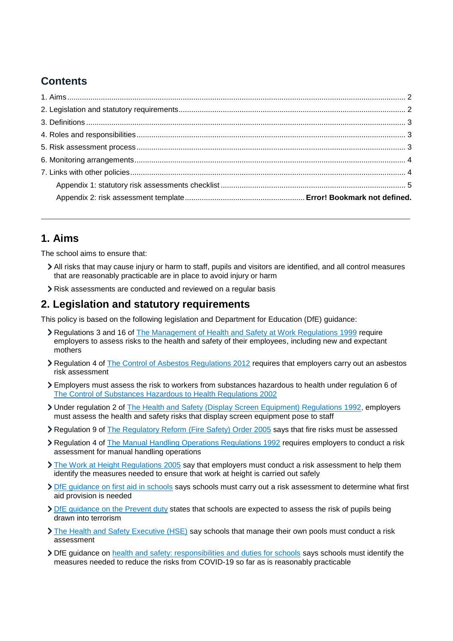### **Contents**

### <span id="page-1-0"></span>**1. Aims**

The school aims to ensure that:

- All risks that may cause injury or harm to staff, pupils and visitors are identified, and all control measures that are reasonably practicable are in place to avoid injury or harm
- Risk assessments are conducted and reviewed on a regular basis

#### <span id="page-1-1"></span>**2. Legislation and statutory requirements**

This policy is based on the following legislation and Department for Education (DfE) guidance:

- Regulations 3 and 16 of [The Management of Health and Safety at Work Regulations 1999](http://www.legislation.gov.uk/uksi/1999/3242/contents/made) require employers to assess risks to the health and safety of their employees, including new and expectant mothers
- Regulation 4 of [The Control of Asbestos Regulations 2012](http://www.legislation.gov.uk/uksi/2012/632/regulation/4/made) requires that employers carry out an asbestos risk assessment
- Employers must assess the risk to workers from substances hazardous to health under regulation 6 of [The Control of Substances Hazardous to Health Regulations 2002](http://www.legislation.gov.uk/uksi/2002/2677/regulation/6/made)
- Under regulation 2 of The Health and Safety [\(Display Screen Equipment\) Regulations 1992,](http://www.legislation.gov.uk/uksi/1992/2792/regulation/2/made) employers must assess the health and safety risks that display screen equipment pose to staff
- Regulation 9 of [The Regulatory Reform \(Fire Safety\) Order 2005](http://www.legislation.gov.uk/uksi/2005/1541/article/9/made) says that fire risks must be assessed
- Regulation 4 of [The Manual Handling Operations Regulations 1992](http://www.legislation.gov.uk/uksi/1992/2793/regulation/4/made) requires employers to conduct a risk assessment for manual handling operations
- [The Work at Height Regulations 2005](http://www.legislation.gov.uk/uksi/2005/735/regulation/6/made) say that employers must conduct a risk assessment to help them identify the measures needed to ensure that work at height is carried out safely
- DfE quidance on first aid in schools says schools must carry out a risk assessment to determine what first aid provision is needed
- > [DfE guidance on the Prevent duty](https://www.gov.uk/government/publications/prevent-duty-guidance) states that schools are expected to assess the risk of pupils being drawn into terrorism
- [The Health and Safety Executive \(HSE\)](http://www.hse.gov.uk/entertainment/leisure/swimming-pool.htm) say schools that manage their own pools must conduct a risk assessment
- DfE guidance on [health and safety: responsibilities and duties for schools](https://www.gov.uk/government/publications/health-and-safety-advice-for-schools/responsibilities-and-duties-for-schools#covid-19) says schools must identify the measures needed to reduce the risks from COVID-19 so far as is reasonably practicable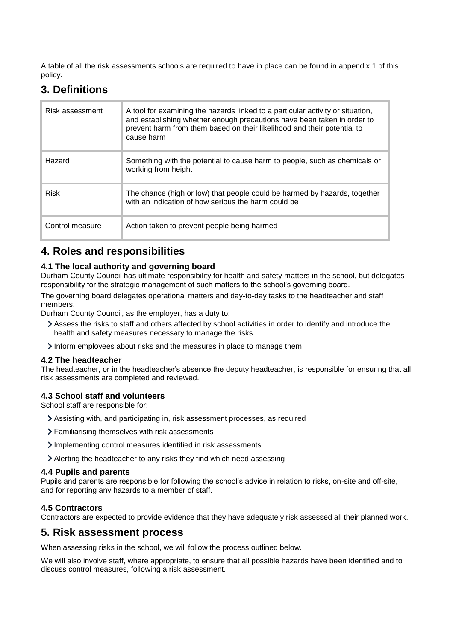A table of all the risk assessments schools are required to have in place can be found in appendix 1 of this policy.

### <span id="page-2-0"></span>**3. Definitions**

| Risk assessment | A tool for examining the hazards linked to a particular activity or situation,<br>and establishing whether enough precautions have been taken in order to<br>prevent harm from them based on their likelihood and their potential to<br>cause harm |
|-----------------|----------------------------------------------------------------------------------------------------------------------------------------------------------------------------------------------------------------------------------------------------|
| Hazard          | Something with the potential to cause harm to people, such as chemicals or<br>working from height                                                                                                                                                  |
| <b>Risk</b>     | The chance (high or low) that people could be harmed by hazards, together<br>with an indication of how serious the harm could be                                                                                                                   |
| Control measure | Action taken to prevent people being harmed                                                                                                                                                                                                        |

### <span id="page-2-1"></span>**4. Roles and responsibilities**

#### **4.1 The local authority and governing board**

Durham County Council has ultimate responsibility for health and safety matters in the school, but delegates responsibility for the strategic management of such matters to the school's governing board.

The governing board delegates operational matters and day-to-day tasks to the headteacher and staff members.

Durham County Council, as the employer, has a duty to:

- Assess the risks to staff and others affected by school activities in order to identify and introduce the health and safety measures necessary to manage the risks
- Inform employees about risks and the measures in place to manage them

#### **4.2 The headteacher**

The headteacher, or in the headteacher's absence the deputy headteacher, is responsible for ensuring that all risk assessments are completed and reviewed.

#### **4.3 School staff and volunteers**

School staff are responsible for:

- Assisting with, and participating in, risk assessment processes, as required
- Familiarising themselves with risk assessments
- Implementing control measures identified in risk assessments
- Alerting the headteacher to any risks they find which need assessing

#### **4.4 Pupils and parents**

Pupils and parents are responsible for following the school's advice in relation to risks, on-site and off-site, and for reporting any hazards to a member of staff.

#### **4.5 Contractors**

Contractors are expected to provide evidence that they have adequately risk assessed all their planned work.

#### <span id="page-2-2"></span>**5. Risk assessment process**

When assessing risks in the school, we will follow the process outlined below.

We will also involve staff, where appropriate, to ensure that all possible hazards have been identified and to discuss control measures, following a risk assessment.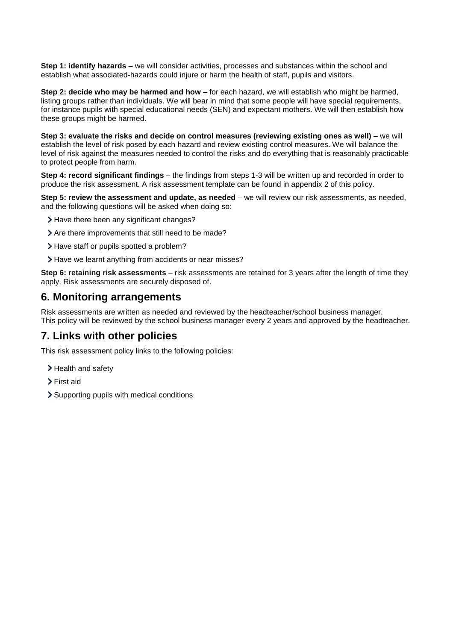**Step 1: identify hazards** – we will consider activities, processes and substances within the school and establish what associated-hazards could injure or harm the health of staff, pupils and visitors.

**Step 2: decide who may be harmed and how** – for each hazard, we will establish who might be harmed, listing groups rather than individuals. We will bear in mind that some people will have special requirements, for instance pupils with special educational needs (SEN) and expectant mothers. We will then establish how these groups might be harmed.

**Step 3: evaluate the risks and decide on control measures (reviewing existing ones as well)** – we will establish the level of risk posed by each hazard and review existing control measures. We will balance the level of risk against the measures needed to control the risks and do everything that is reasonably practicable to protect people from harm.

**Step 4: record significant findings** – the findings from steps 1-3 will be written up and recorded in order to produce the risk assessment. A risk assessment template can be found in appendix 2 of this policy.

**Step 5: review the assessment and update, as needed** – we will review our risk assessments, as needed, and the following questions will be asked when doing so:

- > Have there been any significant changes?
- > Are there improvements that still need to be made?
- > Have staff or pupils spotted a problem?
- > Have we learnt anything from accidents or near misses?

**Step 6: retaining risk assessments** – risk assessments are retained for 3 years after the length of time they apply. Risk assessments are securely disposed of.

#### <span id="page-3-0"></span>**6. Monitoring arrangements**

Risk assessments are written as needed and reviewed by the headteacher/school business manager. This policy will be reviewed by the school business manager every 2 years and approved by the headteacher.

### <span id="page-3-1"></span>**7. Links with other policies**

This risk assessment policy links to the following policies:

- > Health and safety
- > First aid
- Supporting pupils with medical conditions